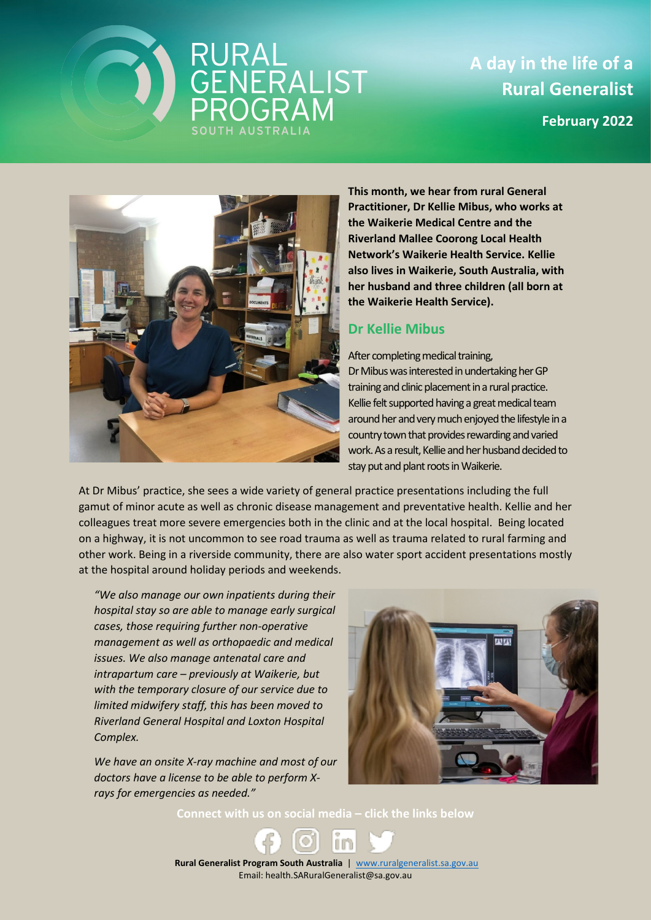## RURAL<br>GENERALIST<br>PROGRAM

**A day in the life of a Rural Generalist February 2022**



**This month, we hear from rural General Practitioner, Dr Kellie Mibus, who works at the Waikerie Medical Centre and the Riverland Mallee Coorong Local Health Network's Waikerie Health Service. Kellie also lives in Waikerie, South Australia, with her husband and three children (all born at the Waikerie Health Service).**

## **Dr Kellie Mibus**

After completing medical training, Dr Mibus was interested in undertaking herGP training and clinic placement in a rural practice. Kellie felt supported having a great medical team around her and very much enjoyed the lifestyle in a country town that provides rewarding and varied work. As a result, Kellie and her husband decided to stay put and plant roots in Waikerie.

At Dr Mibus' practice, she sees a wide variety of general practice presentations including the full gamut of minor acute as well as chronic disease management and preventative health. Kellie and her colleagues treat more severe emergencies both in the clinic and at the local hospital. Being located on a highway, it is not uncommon to see road trauma as well as trauma related to rural farming and other work. Being in a riverside community, there are also water sport accident presentations mostly at the hospital around holiday periods and weekends.

*"We also manage our own inpatients during their hospital stay so are able to manage early surgical cases, those requiring further non-operative management as well as orthopaedic and medical issues. We also manage antenatal care and intrapartum care – previously at Waikerie, but with the temporary closure of our service due to limited midwifery staff, this has been moved to Riverland General Hospital and Loxton Hospital Complex.*

*We have an onsite X-ray machine and most of our doctors have a license to be able to perform Xrays for emergencies as needed."*



**Connect with us on social media – click the links below**

 **Rural Generalist Program South Australia** | [www.ruralgeneralist.sa.gov.au](http://www.ruralgeneralist.sa.gov.au/) Email: health.SARuralGeneralist@sa.gov.au